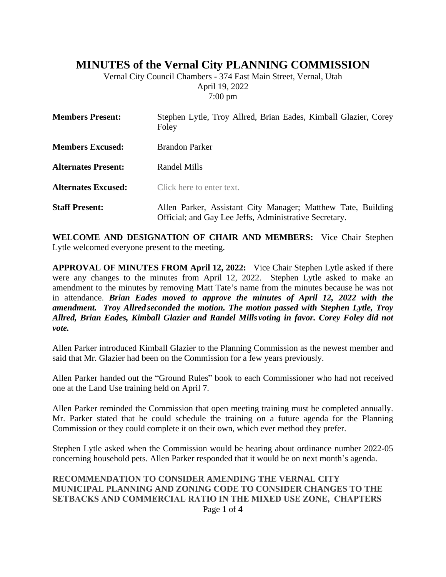## **MINUTES of the Vernal City PLANNING COMMISSION**

Vernal City Council Chambers - 374 East Main Street, Vernal, Utah April 19, 2022 7:00 pm

| <b>Members Present:</b>    | Stephen Lytle, Troy Allred, Brian Eades, Kimball Glazier, Corey<br>Foley                                               |
|----------------------------|------------------------------------------------------------------------------------------------------------------------|
| <b>Members Excused:</b>    | <b>Brandon Parker</b>                                                                                                  |
| <b>Alternates Present:</b> | Randel Mills                                                                                                           |
| <b>Alternates Excused:</b> | Click here to enter text.                                                                                              |
| <b>Staff Present:</b>      | Allen Parker, Assistant City Manager; Matthew Tate, Building<br>Official; and Gay Lee Jeffs, Administrative Secretary. |

**WELCOME AND DESIGNATION OF CHAIR AND MEMBERS:** Vice Chair Stephen Lytle welcomed everyone present to the meeting.

**APPROVAL OF MINUTES FROM April 12, 2022:** Vice Chair Stephen Lytle asked if there were any changes to the minutes from April 12, 2022. Stephen Lytle asked to make an amendment to the minutes by removing Matt Tate's name from the minutes because he was not in attendance. *Brian Eades moved to approve the minutes of April 12, 2022 with the amendment. Troy Allred seconded the motion. The motion passed with Stephen Lytle, Troy Allred, Brian Eades, Kimball Glazier and Randel Mills voting in favor. Corey Foley did not vote.*

Allen Parker introduced Kimball Glazier to the Planning Commission as the newest member and said that Mr. Glazier had been on the Commission for a few years previously.

Allen Parker handed out the "Ground Rules" book to each Commissioner who had not received one at the Land Use training held on April 7.

Allen Parker reminded the Commission that open meeting training must be completed annually. Mr. Parker stated that he could schedule the training on a future agenda for the Planning Commission or they could complete it on their own, which ever method they prefer.

Stephen Lytle asked when the Commission would be hearing about ordinance number 2022-05 concerning household pets. Allen Parker responded that it would be on next month's agenda.

## Page **1** of **4 RECOMMENDATION TO CONSIDER AMENDING THE VERNAL CITY MUNICIPAL PLANNING AND ZONING CODE TO CONSIDER CHANGES TO THE SETBACKS AND COMMERCIAL RATIO IN THE MIXED USE ZONE, CHAPTERS**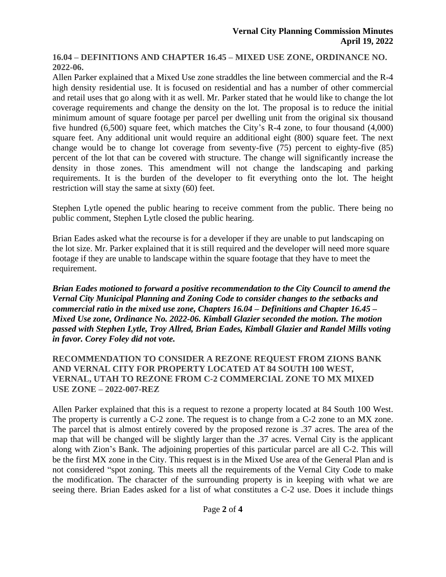**16.04 – DEFINITIONS AND CHAPTER 16.45 – MIXED USE ZONE, ORDINANCE NO. 2022-06.**

Allen Parker explained that a Mixed Use zone straddles the line between commercial and the R-4 high density residential use. It is focused on residential and has a number of other commercial and retail uses that go along with it as well. Mr. Parker stated that he would like to change the lot coverage requirements and change the density on the lot. The proposal is to reduce the initial minimum amount of square footage per parcel per dwelling unit from the original six thousand five hundred (6,500) square feet, which matches the City's R-4 zone, to four thousand (4,000) square feet. Any additional unit would require an additional eight (800) square feet. The next change would be to change lot coverage from seventy-five (75) percent to eighty-five (85) percent of the lot that can be covered with structure. The change will significantly increase the density in those zones. This amendment will not change the landscaping and parking requirements. It is the burden of the developer to fit everything onto the lot. The height restriction will stay the same at sixty (60) feet.

Stephen Lytle opened the public hearing to receive comment from the public. There being no public comment, Stephen Lytle closed the public hearing.

Brian Eades asked what the recourse is for a developer if they are unable to put landscaping on the lot size. Mr. Parker explained that it is still required and the developer will need more square footage if they are unable to landscape within the square footage that they have to meet the requirement.

*Brian Eades motioned to forward a positive recommendation to the City Council to amend the Vernal City Municipal Planning and Zoning Code to consider changes to the setbacks and commercial ratio in the mixed use zone, Chapters 16.04 – Definitions and Chapter 16.45 – Mixed Use zone, Ordinance No. 2022-06. Kimball Glazier seconded the motion. The motion passed with Stephen Lytle, Troy Allred, Brian Eades, Kimball Glazier and Randel Mills voting in favor. Corey Foley did not vote.*

**RECOMMENDATION TO CONSIDER A REZONE REQUEST FROM ZIONS BANK AND VERNAL CITY FOR PROPERTY LOCATED AT 84 SOUTH 100 WEST, VERNAL, UTAH TO REZONE FROM C-2 COMMERCIAL ZONE TO MX MIXED USE ZONE – 2022-007-REZ**

Allen Parker explained that this is a request to rezone a property located at 84 South 100 West. The property is currently a C-2 zone. The request is to change from a C-2 zone to an MX zone. The parcel that is almost entirely covered by the proposed rezone is .37 acres. The area of the map that will be changed will be slightly larger than the .37 acres. Vernal City is the applicant along with Zion's Bank. The adjoining properties of this particular parcel are all C-2. This will be the first MX zone in the City. This request is in the Mixed Use area of the General Plan and is not considered "spot zoning. This meets all the requirements of the Vernal City Code to make the modification. The character of the surrounding property is in keeping with what we are seeing there. Brian Eades asked for a list of what constitutes a C-2 use. Does it include things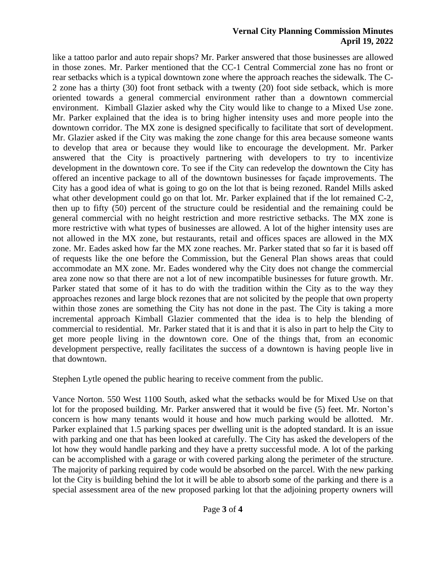## **Vernal City Planning Commission Minutes April 19, 2022**

like a tattoo parlor and auto repair shops? Mr. Parker answered that those businesses are allowed in those zones. Mr. Parker mentioned that the CC-1 Central Commercial zone has no front or rear setbacks which is a typical downtown zone where the approach reaches the sidewalk. The C-2 zone has a thirty (30) foot front setback with a twenty (20) foot side setback, which is more oriented towards a general commercial environment rather than a downtown commercial environment. Kimball Glazier asked why the City would like to change to a Mixed Use zone. Mr. Parker explained that the idea is to bring higher intensity uses and more people into the downtown corridor. The MX zone is designed specifically to facilitate that sort of development. Mr. Glazier asked if the City was making the zone change for this area because someone wants to develop that area or because they would like to encourage the development. Mr. Parker answered that the City is proactively partnering with developers to try to incentivize development in the downtown core. To see if the City can redevelop the downtown the City has offered an incentive package to all of the downtown businesses for façade improvements. The City has a good idea of what is going to go on the lot that is being rezoned. Randel Mills asked what other development could go on that lot. Mr. Parker explained that if the lot remained C-2, then up to fifty (50) percent of the structure could be residential and the remaining could be general commercial with no height restriction and more restrictive setbacks. The MX zone is more restrictive with what types of businesses are allowed. A lot of the higher intensity uses are not allowed in the MX zone, but restaurants, retail and offices spaces are allowed in the MX zone. Mr. Eades asked how far the MX zone reaches. Mr. Parker stated that so far it is based off of requests like the one before the Commission, but the General Plan shows areas that could accommodate an MX zone. Mr. Eades wondered why the City does not change the commercial area zone now so that there are not a lot of new incompatible businesses for future growth. Mr. Parker stated that some of it has to do with the tradition within the City as to the way they approaches rezones and large block rezones that are not solicited by the people that own property within those zones are something the City has not done in the past. The City is taking a more incremental approach Kimball Glazier commented that the idea is to help the blending of commercial to residential. Mr. Parker stated that it is and that it is also in part to help the City to get more people living in the downtown core. One of the things that, from an economic development perspective, really facilitates the success of a downtown is having people live in that downtown.

Stephen Lytle opened the public hearing to receive comment from the public.

Vance Norton. 550 West 1100 South, asked what the setbacks would be for Mixed Use on that lot for the proposed building. Mr. Parker answered that it would be five (5) feet. Mr. Norton's concern is how many tenants would it house and how much parking would be allotted. Mr. Parker explained that 1.5 parking spaces per dwelling unit is the adopted standard. It is an issue with parking and one that has been looked at carefully. The City has asked the developers of the lot how they would handle parking and they have a pretty successful mode. A lot of the parking can be accomplished with a garage or with covered parking along the perimeter of the structure. The majority of parking required by code would be absorbed on the parcel. With the new parking lot the City is building behind the lot it will be able to absorb some of the parking and there is a special assessment area of the new proposed parking lot that the adjoining property owners will